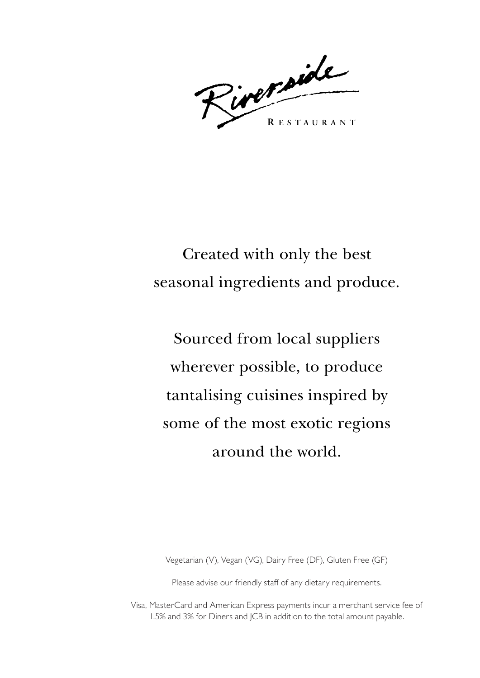Riverside **RESTAURANT** 

Created with only the best seasonal ingredients and produce.

Sourced from local suppliers wherever possible, to produce tantalising cuisines inspired by some of the most exotic regions around the world.

Vegetarian (V), Vegan (VG), Dairy Free (DF), Gluten Free (GF)

Please advise our friendly staff of any dietary requirements.

Visa, MasterCard and American Express payments incur a merchant service fee of 1.5% and 3% for Diners and JCB in addition to the total amount payable.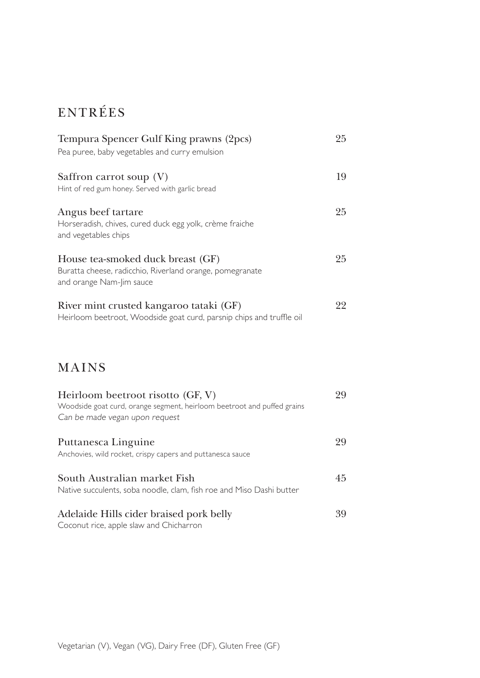# ENTRÉES

| Tempura Spencer Gulf King prawns (2pcs)<br>Pea puree, baby vegetables and curry emulsion                                  | 25 |
|---------------------------------------------------------------------------------------------------------------------------|----|
| Saffron carrot soup $(V)$<br>Hint of red gum honey. Served with garlic bread                                              | 19 |
| Angus beef tartare<br>Horseradish, chives, cured duck egg yolk, crème fraiche<br>and vegetables chips                     | 25 |
| House tea-smoked duck breast (GF)<br>Buratta cheese, radicchio, Riverland orange, pomegranate<br>and orange Nam-Jim sauce | 25 |
| River mint crusted kangaroo tataki (GF)<br>Heirloom beetroot, Woodside goat curd, parsnip chips and truffle oil           | 22 |

# MAINS

| Heirloom beetroot risotto (GF, V)<br>Woodside goat curd, orange segment, heirloom beetroot and puffed grains<br>Can be made vegan upon request | 99 |
|------------------------------------------------------------------------------------------------------------------------------------------------|----|
| Puttanesca Linguine<br>Anchovies, wild rocket, crispy capers and puttanesca sauce                                                              | 99 |
| South Australian market Fish<br>Native succulents, soba noodle, clam, fish roe and Miso Dashi butter                                           | 45 |
| Adelaide Hills cider braised pork belly                                                                                                        | 39 |

Coconut rice, apple slaw and Chicharron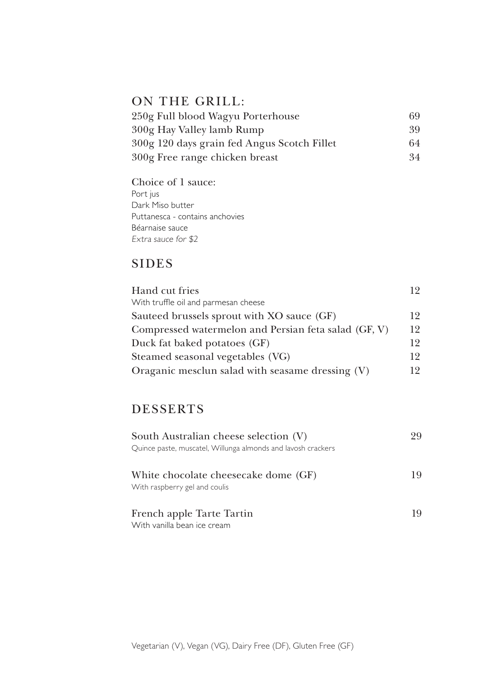# ON THE GRILL:

| 250g Full blood Wagyu Porterhouse           | 69 |
|---------------------------------------------|----|
| 300g Hay Valley lamb Rump                   | 39 |
| 300g 120 days grain fed Angus Scotch Fillet | 64 |
| 300g Free range chicken breast              | 34 |

Choice of 1 sauce: Port jus Dark Miso butter Puttanesca - contains anchovies Béarnaise sauce Extra sauce for \$2

# **SIDES**

| Hand cut fries                                       | 19 |
|------------------------------------------------------|----|
| With truffle oil and parmesan cheese                 |    |
| Sauteed brussels sprout with XO sauce (GF)           | 12 |
| Compressed watermelon and Persian feta salad (GF, V) | 12 |
| Duck fat baked potatoes (GF)                         | 12 |
| Steamed seasonal vegetables (VG)                     | 12 |
| Oraganic mesclun salad with seasame dressing (V)     | 12 |

# DESSERTS

| South Australian cheese selection (V)<br>Quince paste, muscatel, Willunga almonds and lavosh crackers | 99 |
|-------------------------------------------------------------------------------------------------------|----|
| White chocolate cheesecake dome (GF)<br>With raspberry gel and coulis                                 | 19 |
| French apple Tarte Tartin<br>With vanilla bean ice cream                                              | 19 |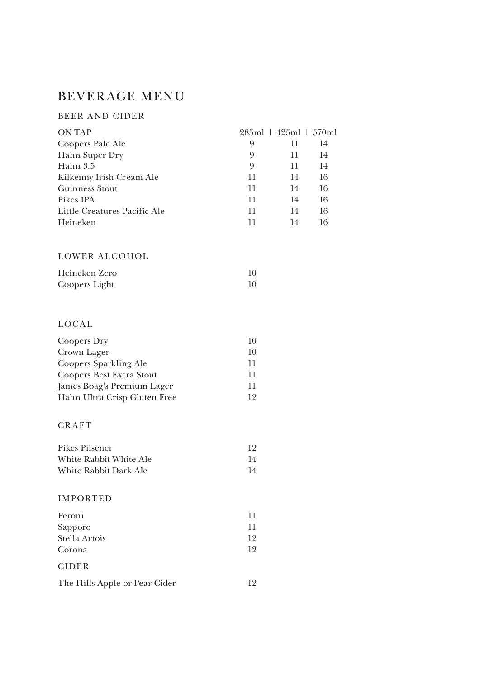# BEVERAGE MENU

#### BEER A ND CIDER

| <b>ON TAP</b>                |    | 285ml   425ml   570ml |    |
|------------------------------|----|-----------------------|----|
| Coopers Pale Ale             | 9  | 11                    | 14 |
| Hahn Super Dry               | 9  | 11                    | 14 |
| Hahn 3.5                     | 9  | 11                    | 14 |
| Kilkenny Irish Cream Ale     | 11 | 14                    | 16 |
| Guinness Stout               | 11 | 14                    | 16 |
| Pikes IPA                    | 11 | 14                    | 16 |
| Little Creatures Pacific Ale | 11 | 14                    | 16 |
| Heineken                     | 11 | 14                    | 16 |
|                              |    |                       |    |

#### LOWER ALCOHOL

| Heineken Zero |    |
|---------------|----|
| Coopers Light | 10 |

### **LOCAL**

| Coopers Dry                     | 10 |
|---------------------------------|----|
| Crown Lager                     | 10 |
| <b>Coopers Sparkling Ale</b>    | 11 |
| <b>Coopers Best Extra Stout</b> | 11 |
| James Boag's Premium Lager      | 11 |
| Hahn Ultra Crisp Gluten Free    | 19 |

#### **CRAFT**

| Pikes Pilsener         | 12 |
|------------------------|----|
| White Rabbit White Ale | 14 |
| White Rabbit Dark Ale  | 14 |

#### IMPORTED

| Peroni        | 11 |
|---------------|----|
| Sapporo       | 11 |
| Stella Artois | 19 |
| Corona        | 19 |
| <b>CIDER</b>  |    |

| The Hills Apple or Pear Cider |  |
|-------------------------------|--|
|-------------------------------|--|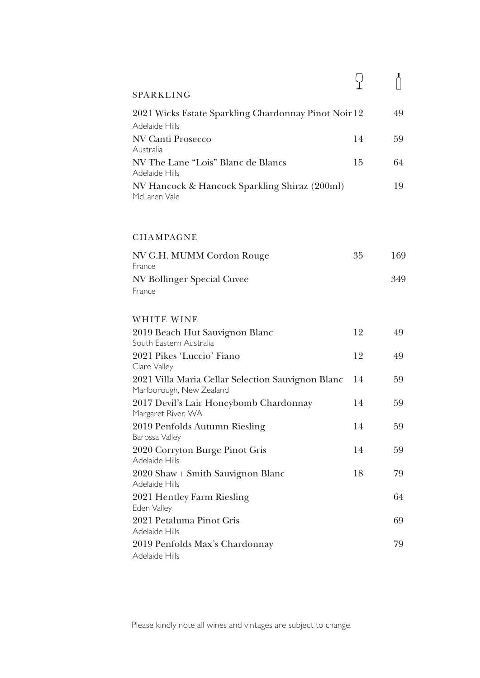| SPARKLING                                            |    |    |
|------------------------------------------------------|----|----|
| 2021 Wicks Estate Sparkling Chardonnay Pinot Noir 12 |    | 49 |
| Adelaide Hills                                       |    |    |
| NV Canti Prosecco                                    | 14 | 59 |
| Australia                                            |    |    |
| NV The Lane "Lois" Blanc de Blancs<br>Adelaide Hills | 15 | 64 |
| NV Hancock & Hancock Sparkling Shiraz (200ml)        |    | 19 |
| McLaren Vale                                         |    |    |

### **CHAMPAGNE**

| NV G.H. MUMM Cordon Rouge  | 35 | 169 |
|----------------------------|----|-----|
| France                     |    |     |
| NV Bollinger Special Cuvee |    | 349 |
| France                     |    |     |

#### WHITE WINE

| 2019 Beach Hut Sauvignon Blanc                    | 12 | 49 |
|---------------------------------------------------|----|----|
| South Eastern Australia                           |    |    |
| 2021 Pikes 'Luccio' Fiano                         | 12 | 49 |
| Clare Valley                                      |    |    |
| 2021 Villa Maria Cellar Selection Sauvignon Blanc | 14 | 59 |
| Marlborough, New Zealand                          |    |    |
| 2017 Devil's Lair Honeybomb Chardonnay            | 14 | 59 |
| Margaret River, WA                                |    |    |
| 2019 Penfolds Autumn Riesling                     | 14 | 59 |
| Barossa Valley                                    |    |    |
| 2020 Corryton Burge Pinot Gris                    | 14 | 59 |
| Adelaide Hills                                    |    |    |
| 2020 Shaw + Smith Sauvignon Blanc                 | 18 | 79 |
| Adelaide Hills                                    |    |    |
| 2021 Hentley Farm Riesling                        |    | 64 |
| Eden Valley                                       |    |    |
| 2021 Petaluma Pinot Gris                          |    | 69 |
| Adelaide Hills                                    |    |    |
| 2019 Penfolds Max's Chardonnay                    |    | 79 |
| Adelaide Hills                                    |    |    |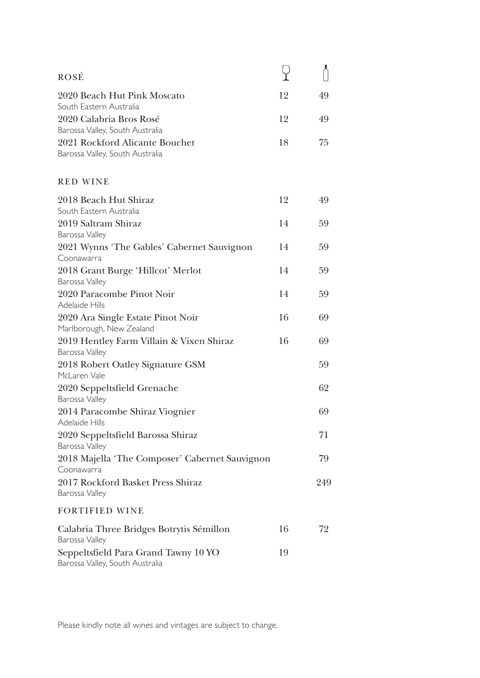| <b>ROSÉ</b>                                                             |    |     |
|-------------------------------------------------------------------------|----|-----|
| 2020 Beach Hut Pink Moscato                                             | 12 | 49  |
| South Eastern Australia                                                 |    |     |
| 2020 Calabria Bros Rosé                                                 | 12 | 49  |
| Barossa Valley, South Australia<br>2021 Rockford Alicante Bouchet       | 18 | 75  |
| Barossa Valley, South Australia                                         |    |     |
| <b>RED WINE</b>                                                         |    |     |
| 2018 Beach Hut Shiraz                                                   | 12 | 49  |
| South Eastern Australia<br>2019 Saltram Shiraz                          | 14 | 59  |
| Barossa Valley                                                          |    |     |
| 2021 Wynns 'The Gables' Cabernet Sauvignon                              | 14 | 59  |
| Coonawarra<br>2018 Grant Burge 'Hillcot' Merlot                         | 14 | 59  |
| Barossa Valley                                                          |    |     |
| 2020 Paracombe Pinot Noir<br>Adelaide Hills                             | 14 | 59  |
| 2020 Ara Single Estate Pinot Noir<br>Marlborough, New Zealand           | 16 | 69  |
| 2019 Hentley Farm Villain & Vixen Shiraz<br>Barossa Valley              | 16 | 69  |
| 2018 Robert Oatley Signature GSM<br>McLaren Vale                        |    | 59  |
| 2020 Seppeltsfield Grenache<br>Barossa Valley                           |    | 62  |
| 2014 Paracombe Shiraz Viognier<br>Adelaide Hills                        |    | 69  |
| 2020 Seppeltsfield Barossa Shiraz<br>Barossa Valley                     |    | 71  |
| 2018 Majella 'The Composer' Cabernet Sauvignon                          |    | 79  |
| Coonawarra                                                              |    |     |
| 2017 Rockford Basket Press Shiraz                                       |    | 249 |
| Barossa Valley                                                          |    |     |
| <b>FORTIFIED WINE</b>                                                   |    |     |
| Calabria Three Bridges Botrytis Sémillon<br>Barossa Valley              | 16 | 72  |
| Seppeltsfield Para Grand Tawny 10 YO<br>Barossa Valley, South Australia | 19 |     |

Please kindly note all wines and vintages are subject to change.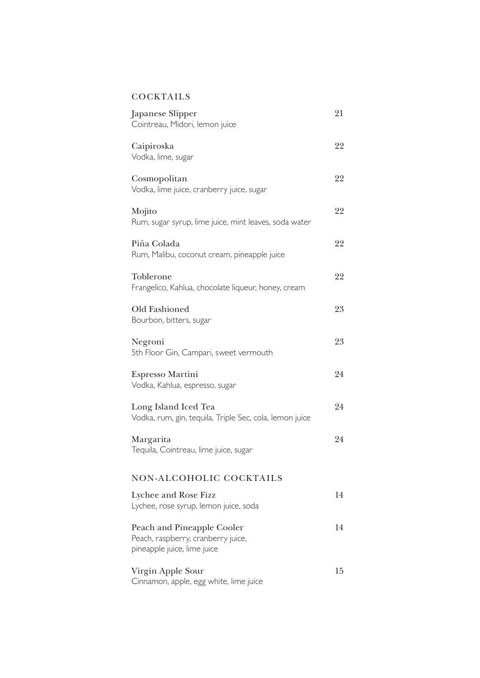## **COCKTAILS**

| Japanese Slipper<br>Cointreau, Midori, lemon juice                                              | 21 |
|-------------------------------------------------------------------------------------------------|----|
| Caipiroska<br>Vodka, lime, sugar                                                                | 22 |
| Cosmopolitan<br>Vodka, lime juice, cranberry juice, sugar                                       | 22 |
| Mojito<br>Rum, sugar syrup, lime juice, mint leaves, soda water                                 | 22 |
| Piña Colada<br>Rum, Malibu, coconut cream, pineapple juice                                      | 22 |
| Toblerone<br>Frangelico, Kahlua, chocolate liqueur, honey, cream                                | 22 |
| Old Fashioned<br>Bourbon, bitters, sugar                                                        | 23 |
| Negroni<br>5th Floor Gin, Campari, sweet vermouth                                               | 23 |
| Espresso Martini<br>Vodka, Kahlua, espresso, sugar                                              | 24 |
| Long Island Iced Tea<br>Vodka, rum, gin, tequila, Triple Sec, cola, lemon juice                 | 24 |
| Margarita<br>Tequila, Cointreau, lime juice, sugar                                              | 24 |
| NON-ALCOHOLIC COCKTAILS                                                                         |    |
| Lychee and Rose Fizz<br>Lychee, rose syrup, lemon juice, soda                                   | 14 |
| Peach and Pineapple Cooler<br>Peach, raspberry, cranberry juice,<br>pineapple juice, lime juice | 14 |
| Virgin Apple Sour<br>Cinnamon, apple, egg white, lime juice                                     | 15 |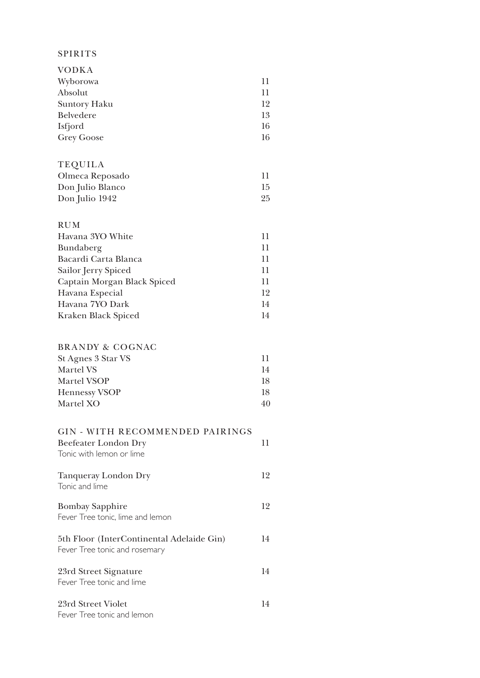### SPIRITS

| 11 |
|----|
| 11 |
| 12 |
| 13 |
| 16 |
| 16 |
|    |

| <b>TEQUILA</b>   |    |
|------------------|----|
| Olmeca Reposado  | 11 |
| Don Julio Blanco | 15 |
| Don Julio 1942   | 95 |

| <b>RUM</b>                  |    |
|-----------------------------|----|
| Havana 3YO White            | 11 |
| Bundaberg                   | 11 |
| Bacardi Carta Blanca        | 11 |
| Sailor Jerry Spiced         | 11 |
| Captain Morgan Black Spiced | 11 |
| Havana Especial             | 12 |
| Havana 7YO Dark             | 14 |
| Kraken Black Spiced         | 14 |

#### BRANDY & COGNAC

| St Agnes 3 Star VS   | 11  |
|----------------------|-----|
| Martel VS            | 14  |
| Martel VSOP          | 18. |
| <b>Hennessy VSOP</b> | 18. |
| Martel XO            | 40  |

# GIN - WITH RECOMMENDED PAIRINGS

| Beefeater London Dry<br>Tonic with lemon or lime                           | 11 |
|----------------------------------------------------------------------------|----|
| Tanqueray London Dry<br>Tonic and lime                                     | 12 |
| <b>Bombay Sapphire</b><br>Fever Tree tonic, lime and lemon                 | 12 |
| 5th Floor (InterContinental Adelaide Gin)<br>Fever Tree tonic and rosemary | 14 |
| 23rd Street Signature<br>Fever Tree tonic and lime                         | 14 |
| 23rd Street Violet<br>Fever Tree tonic and lemon                           | 14 |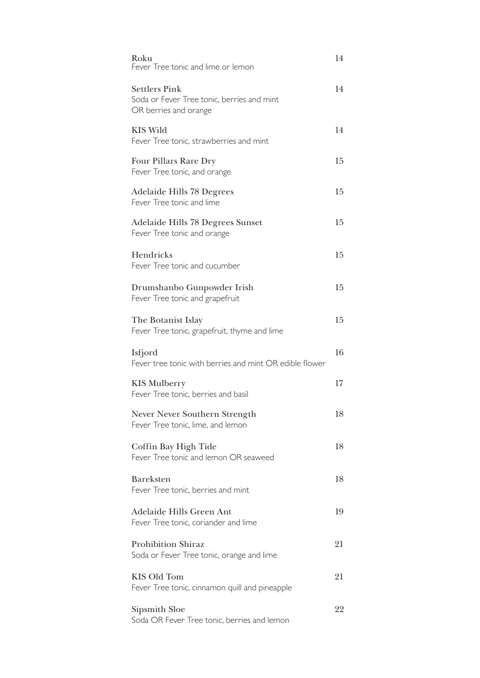| Roku<br>Fever Tree tonic and lime or lemon                                                  | 14     |
|---------------------------------------------------------------------------------------------|--------|
| <b>Settlers Pink</b><br>Soda or Fever Tree tonic, berries and mint<br>OR berries and orange | 14     |
| <b>KIS Wild</b><br>Fever Tree tonic, strawberries and mint                                  | 14     |
| Four Pillars Rare Dry<br>Fever Tree tonic, and orange                                       | 15     |
| <b>Adelaide Hills 78 Degrees</b><br>Fever Tree tonic and lime                               | 15     |
| Adelaide Hills 78 Degrees Sunset<br>Fever Tree tonic and orange                             | 15     |
| Hendricks<br>Fever Tree tonic and cucumber                                                  | 15     |
| Drumshanbo Gunpowder Irish<br>Fever Tree tonic and grapefruit                               | 15     |
| The Botanist Islay<br>Fever Tree tonic, grapefruit, thyme and lime                          | 15     |
| Isfjord<br>Fever tree tonic with berries and mint OR edible flower                          | 16     |
| <b>KIS Mulberry</b><br>Fever Tree tonic, berries and basil                                  | $17\,$ |
| Never Never Southern Strength<br>Fever Tree tonic, lime, and lemon                          | 18     |
| Coffin Bay High Tide<br>Fever Tree tonic and lemon OR seaweed                               | 18     |
| <b>Bareksten</b><br>Fever Tree tonic, berries and mint                                      | 18     |
| Adelaide Hills Green Ant<br>Fever Tree tonic, coriander and lime                            | 19     |
| <b>Prohibition Shiraz</b><br>Soda or Fever Tree tonic, orange and lime                      | 21     |
| <b>KIS Old Tom</b><br>Fever Tree tonic, cinnamon quill and pineapple                        | 21     |
| Sipsmith Sloe<br>Soda OR Fever Tree tonic, berries and lemon                                | 22     |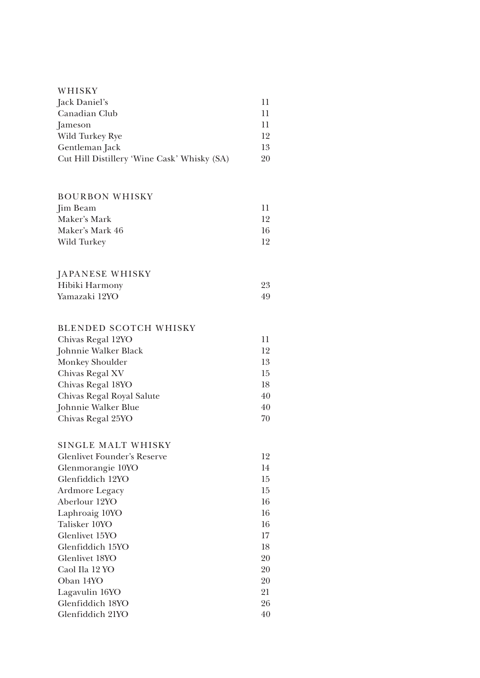| WHISKY                                      |    |
|---------------------------------------------|----|
| Jack Daniel's                               | 11 |
| Canadian Club                               | 11 |
| Jameson                                     | 11 |
| Wild Turkey Rye                             | 12 |
| Gentleman Jack                              | 13 |
| Cut Hill Distillery 'Wine Cask' Whisky (SA) | 20 |
|                                             |    |
| <b>BOURBON WHISKY</b>                       |    |
| Jim Beam                                    | 11 |
| Maker's Mark                                | 12 |
| Maker's Mark 46                             | 16 |
| Wild Turkey                                 | 12 |
| JAPANESE WHISKY                             |    |
| Hibiki Harmony                              | 23 |
| Yamazaki 12YO                               | 49 |
| <b>BLENDED SCOTCH WHISKY</b>                |    |
| Chivas Regal 12YO                           | 11 |
| Johnnie Walker Black                        | 12 |
| Monkey Shoulder                             | 13 |
| Chivas Regal XV                             | 15 |
| Chivas Regal 18YO                           | 18 |
| Chivas Regal Royal Salute                   | 40 |
| Johnnie Walker Blue                         | 40 |
| Chivas Regal 25YO                           | 70 |
| SINGLE MALT WHISKY                          |    |
| <b>Glenlivet Founder's Reserve</b>          | 12 |
| Glenmorangie 10YO                           | 14 |
| Glenfiddich 12YO                            | 15 |
| Ardmore Legacy                              | 15 |
| Aberlour 12YO                               | 16 |
| Laphroaig 10YO                              | 16 |
| Talisker 10YO                               | 16 |
| Glenlivet 15YO                              | 17 |
| Glenfiddich 15YO                            | 18 |
| Glenlivet 18YO                              | 20 |
| Caol Ila 12 YO                              | 20 |
| Oban 14YO                                   | 20 |
| Lagavulin 16YO                              | 21 |
| Glenfiddich 18YO                            | 26 |
| Glenfiddich 21YO                            | 40 |